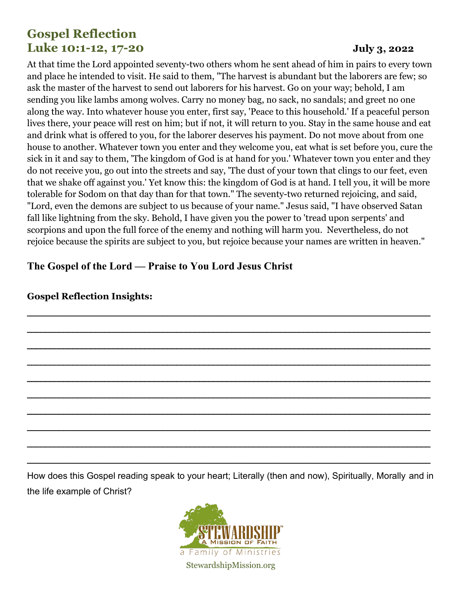## **Gospel Reflection Luke 10:1-12, 17-20 July 3, 2022**

**Gospel Reflection Insights:**

At that time the Lord appointed seventy-two others whom he sent ahead of him in pairs to every town and place he intended to visit. He said to them, "The harvest is abundant but the laborers are few; so ask the master of the harvest to send out laborers for his harvest. Go on your way; behold, I am sending you like lambs among wolves. Carry no money bag, no sack, no sandals; and greet no one along the way. Into whatever house you enter, first say, 'Peace to this household.' If a peaceful person lives there, your peace will rest on him; but if not, it will return to you. Stay in the same house and eat and drink what is offered to you, for the laborer deserves his payment. Do not move about from one house to another. Whatever town you enter and they welcome you, eat what is set before you, cure the sick in it and say to them, 'The kingdom of God is at hand for you.' Whatever town you enter and they do not receive you, go out into the streets and say, 'The dust of your town that clings to our feet, even that we shake off against you.' Yet know this: the kingdom of God is at hand. I tell you, it will be more tolerable for Sodom on that day than for that town." The seventy-two returned rejoicing, and said, "Lord, even the demons are subject to us because of your name." Jesus said, "I have observed Satan fall like lightning from the sky. Behold, I have given you the power to 'tread upon serpents' and scorpions and upon the full force of the enemy and nothing will harm you. Nevertheless, do not rejoice because the spirits are subject to you, but rejoice because your names are written in heaven."

## **The Gospel of the Lord — Praise to You Lord Jesus Christ**

# \_\_\_\_\_\_\_\_\_\_\_\_\_\_\_\_\_\_\_\_\_\_\_\_\_\_\_\_\_\_\_\_\_\_\_\_\_\_\_\_\_\_\_\_\_\_\_\_\_\_\_\_\_\_\_\_\_\_\_\_\_\_\_\_\_\_\_\_\_\_\_\_\_\_\_\_\_\_\_\_\_\_\_\_\_\_\_\_\_ \_\_\_\_\_\_\_\_\_\_\_\_\_\_\_\_\_\_\_\_\_\_\_\_\_\_\_\_\_\_\_\_\_\_\_\_\_\_\_\_\_\_\_\_\_\_\_\_\_\_\_\_\_\_\_\_\_\_\_\_\_\_\_\_\_\_\_\_\_\_\_\_\_\_\_\_\_\_\_\_\_\_\_\_\_\_\_\_\_ \_\_\_\_\_\_\_\_\_\_\_\_\_\_\_\_\_\_\_\_\_\_\_\_\_\_\_\_\_\_\_\_\_\_\_\_\_\_\_\_\_\_\_\_\_\_\_\_\_\_\_\_\_\_\_\_\_\_\_\_\_\_\_\_\_\_\_\_\_\_\_\_\_\_\_\_\_\_\_\_\_\_\_\_\_\_\_\_\_ \_\_\_\_\_\_\_\_\_\_\_\_\_\_\_\_\_\_\_\_\_\_\_\_\_\_\_\_\_\_\_\_\_\_\_\_\_\_\_\_\_\_\_\_\_\_\_\_\_\_\_\_\_\_\_\_\_\_\_\_\_\_\_\_\_\_\_\_\_\_\_\_\_\_\_\_\_\_\_\_\_\_\_\_\_\_\_\_\_ \_\_\_\_\_\_\_\_\_\_\_\_\_\_\_\_\_\_\_\_\_\_\_\_\_\_\_\_\_\_\_\_\_\_\_\_\_\_\_\_\_\_\_\_\_\_\_\_\_\_\_\_\_\_\_\_\_\_\_\_\_\_\_\_\_\_\_\_\_\_\_\_\_\_\_\_\_\_\_\_\_\_\_\_\_\_\_\_\_ \_\_\_\_\_\_\_\_\_\_\_\_\_\_\_\_\_\_\_\_\_\_\_\_\_\_\_\_\_\_\_\_\_\_\_\_\_\_\_\_\_\_\_\_\_\_\_\_\_\_\_\_\_\_\_\_\_\_\_\_\_\_\_\_\_\_\_\_\_\_\_\_\_\_\_\_\_\_\_\_\_\_\_\_\_\_\_\_\_ \_\_\_\_\_\_\_\_\_\_\_\_\_\_\_\_\_\_\_\_\_\_\_\_\_\_\_\_\_\_\_\_\_\_\_\_\_\_\_\_\_\_\_\_\_\_\_\_\_\_\_\_\_\_\_\_\_\_\_\_\_\_\_\_\_\_\_\_\_\_\_\_\_\_\_\_\_\_\_\_\_\_\_\_\_\_\_\_\_ \_\_\_\_\_\_\_\_\_\_\_\_\_\_\_\_\_\_\_\_\_\_\_\_\_\_\_\_\_\_\_\_\_\_\_\_\_\_\_\_\_\_\_\_\_\_\_\_\_\_\_\_\_\_\_\_\_\_\_\_\_\_\_\_\_\_\_\_\_\_\_\_\_\_\_\_\_\_\_\_\_\_\_\_\_\_\_\_\_ \_\_\_\_\_\_\_\_\_\_\_\_\_\_\_\_\_\_\_\_\_\_\_\_\_\_\_\_\_\_\_\_\_\_\_\_\_\_\_\_\_\_\_\_\_\_\_\_\_\_\_\_\_\_\_\_\_\_\_\_\_\_\_\_\_\_\_\_\_\_\_\_\_\_\_\_\_\_\_\_\_\_\_\_\_\_\_\_\_ \_\_\_\_\_\_\_\_\_\_\_\_\_\_\_\_\_\_\_\_\_\_\_\_\_\_\_\_\_\_\_\_\_\_\_\_\_\_\_\_\_\_\_\_\_\_\_\_\_\_\_\_\_\_\_\_\_\_\_\_\_\_\_\_\_\_\_\_\_\_\_\_\_\_\_\_\_\_\_\_\_\_\_\_\_\_\_\_\_

How does this Gospel reading speak to your heart; Literally (then and now), Spiritually, Morally and in the life example of Christ?



StewardshipMission.org